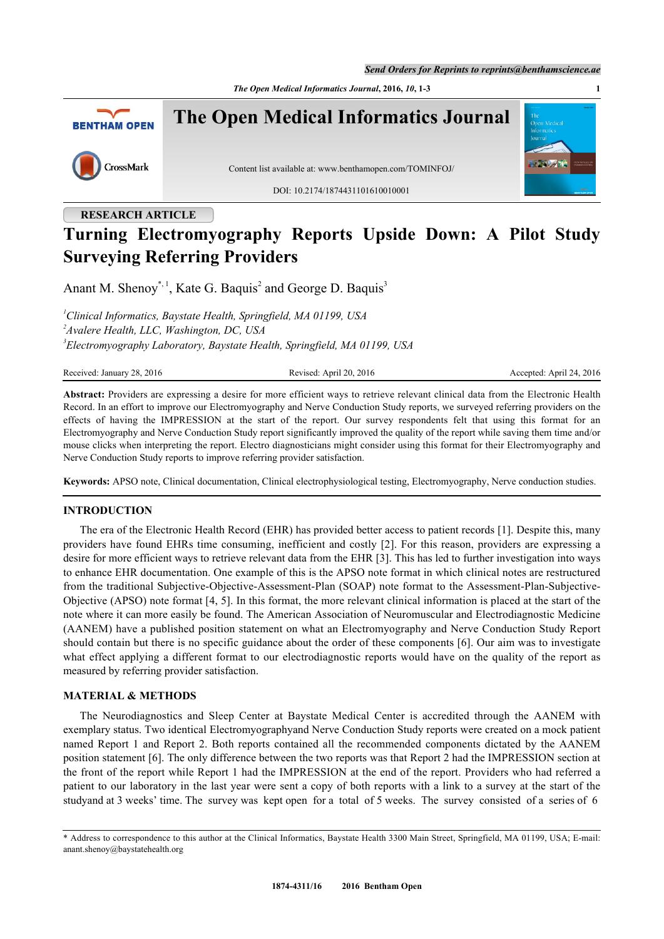*The Open Medical Informatics Journal***, 2016,** *10***, 1-3 1**



# **RESEARCH ARTICLE**

# **Turning Electromyography Reports Upside Down: A Pilot Study Surveying Referring Providers**

Anant M. Shenoy<sup>[\\*,](#page-0-0) [1](#page-0-1)</sup>, Kate G. Baquis<sup>[2](#page-0-2)</sup> and George D. Baquis<sup>[3](#page-0-3)</sup>

<span id="page-0-3"></span><span id="page-0-2"></span><span id="page-0-1"></span>*<sup>1</sup>Clinical Informatics, Baystate Health, Springfield, MA 01199, USA 2 Avalere Health, LLC, Washington, DC, USA 3 Electromyography Laboratory, Baystate Health, Springfield, MA 01199, USA*

Received: January 28, 2016 Revised: April 20, 2016 Revised: April 20, 2016 Accepted: April 24, 2016

**Abstract:** Providers are expressing a desire for more efficient ways to retrieve relevant clinical data from the Electronic Health Record. In an effort to improve our Electromyography and Nerve Conduction Study reports, we surveyed referring providers on the effects of having the IMPRESSION at the start of the report. Our survey respondents felt that using this format for an Electromyography and Nerve Conduction Study report significantly improved the quality of the report while saving them time and/or mouse clicks when interpreting the report. Electro diagnosticians might consider using this format for their Electromyography and Nerve Conduction Study reports to improve referring provider satisfaction.

**Keywords:** APSO note, Clinical documentation, Clinical electrophysiological testing, Electromyography, Nerve conduction studies.

### **INTRODUCTION**

The era of the Electronic Health Record (EHR) has provided better access to patient records [[1\]](#page-2-0). Despite this, many providers have found EHRs time consuming, inefficient and costly [[2](#page-2-1)]. For this reason, providers are expressing a desire for more efficient ways to retrieve relevant data from the EHR [[3\]](#page-2-2). This has led to further investigation into ways to enhance EHR documentation. One example of this is the APSO note format in which clinical notes are restructured from the traditional Subjective-Objective-Assessment-Plan (SOAP) note format to the Assessment-Plan-Subjective-Objective (APSO) note format [[4,](#page-2-3) [5](#page-2-4)]. In this format, the more relevant clinical information is placed at the start of the note where it can more easily be found. The American Association of Neuromuscular and Electrodiagnostic Medicine (AANEM) have a published position statement on what an Electromyography and Nerve Conduction Study Report should contain but there is no specific guidance about the order of these components [[6\]](#page-2-5). Our aim was to investigate what effect applying a different format to our electrodiagnostic reports would have on the quality of the report as measured by referring provider satisfaction.

# **MATERIAL & METHODS**

The Neurodiagnostics and Sleep Center at Baystate Medical Center is accredited through the AANEM with exemplary status. Two identical Electromyographyand Nerve Conduction Study reports were created on a mock patient named Report 1 and Report 2. Both reports contained all the recommended components dictated by the AANEM position statement [\[6](#page-2-5)]. The only difference between the two reports was that Report 2 had the IMPRESSION section at the front of the report while Report 1 had the IMPRESSION at the end of the report. Providers who had referred a patient to our laboratory in the last year were sent a copy of both reports with a link to a survey at the start of the studyand at 3 weeks' time. The survey was kept open for a total of 5 weeks. The survey consisted of a series of 6

<span id="page-0-0"></span><sup>\*</sup> Address to correspondence to this author at the Clinical Informatics, Baystate Health 3300 Main Street, Springfield, MA 01199, USA; E-mail: [anant.shenoy@baystatehealth.org](mailto:anant.shenoy@baystatehealth.org)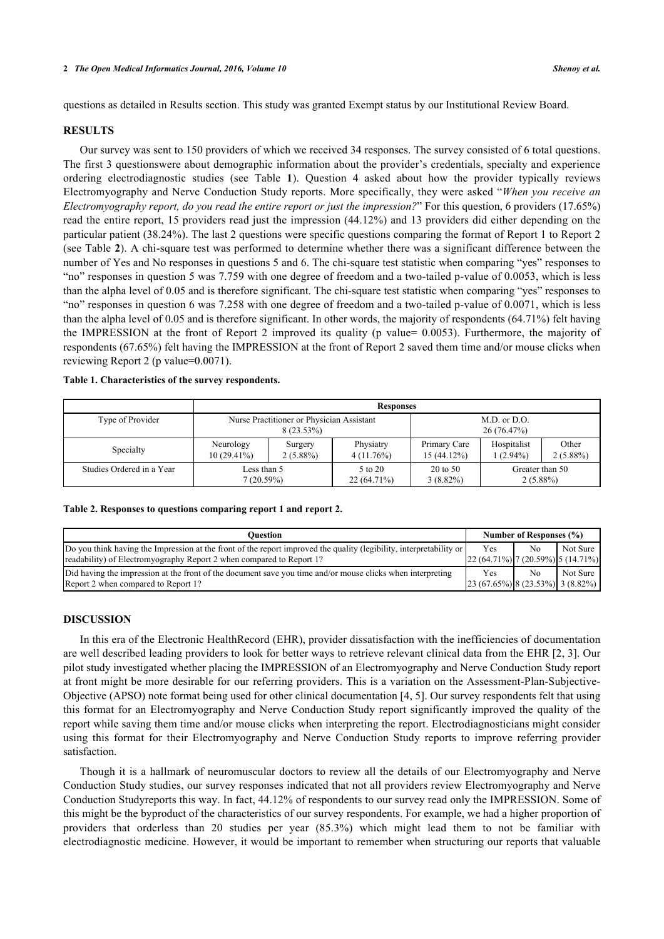questions as detailed in Results section. This study was granted Exempt status by our Institutional Review Board.

# **RESULTS**

Our survey was sent to 150 providers of which we received 34 responses. The survey consisted of 6 total questions. The first 3 questionswere about demographic information about the provider's credentials, specialty and experience ordering electrodiagnostic studies (see Table**1**). Question 4 asked about how the provider typically reviews Electromyography and Nerve Conduction Study reports. More specifically, they were asked "*When you receive an Electromyography report, do you read the entire report or just the impression?*" For this question, 6 providers (17.65%) read the entire report, 15 providers read just the impression (44.12%) and 13 providers did either depending on the particular patient (38.24%). The last 2 questions were specific questions comparing the format of Report 1 to Report 2 (see Table **[2](#page-1-1)**). A chi-square test was performed to determine whether there was a significant difference between the number of Yes and No responses in questions 5 and 6. The chi-square test statistic when comparing "yes" responses to "no" responses in question 5 was 7.759 with one degree of freedom and a two-tailed p-value of 0.0053, which is less than the alpha level of 0.05 and is therefore significant. The chi-square test statistic when comparing "yes" responses to "no" responses in question 6 was 7.258 with one degree of freedom and a two-tailed p-value of 0.0071, which is less than the alpha level of 0.05 and is therefore significant. In other words, the majority of respondents (64.71%) felt having the IMPRESSION at the front of Report 2 improved its quality (p value= 0.0053). Furthermore, the majority of respondents (67.65%) felt having the IMPRESSION at the front of Report 2 saved them time and/or mouse clicks when reviewing Report 2 (p value=0.0071).

#### <span id="page-1-0"></span>**Table 1. Characteristics of the survey respondents.**

|                           | <b>Responses</b>                          |                        |                           |                            |                                |                      |
|---------------------------|-------------------------------------------|------------------------|---------------------------|----------------------------|--------------------------------|----------------------|
| Type of Provider          | Nurse Practitioner or Physician Assistant |                        |                           | $M.D.$ or $D.O.$           |                                |                      |
|                           | $8(23.53\%)$                              |                        |                           | 26(76.47%)                 |                                |                      |
| Specialty                 | Neurology<br>$10(29.41\%)$                | Surgery<br>$2(5.88\%)$ | Physiatry<br>$4(11.76\%)$ | Primary Care<br>15(44.12%) | Hospitalist<br>$1(2.94\%)$     | Other<br>$2(5.88\%)$ |
| Studies Ordered in a Year | Less than 5<br>7(20.59%)                  |                        | 5 to 20<br>$22(64.71\%)$  | 20 to 50<br>$3(8.82\%)$    | Greater than 50<br>$2(5.88\%)$ |                      |

#### <span id="page-1-1"></span>**Table 2. Responses to questions comparing report 1 and report 2.**

| <b>Ouestion</b>                                                                                                     | Number of Responses (%)                                                                                                 |                |            |
|---------------------------------------------------------------------------------------------------------------------|-------------------------------------------------------------------------------------------------------------------------|----------------|------------|
| Do you think having the Impression at the front of the report improved the quality (legibility, interpretability or | <b>Yes</b>                                                                                                              | N <sub>0</sub> | Not Sure 1 |
| readability) of Electromyography Report 2 when compared to Report 1?                                                | $\left  \frac{22}{64.71\%} \right $ 7 (20.59%) 5 (14.71%)                                                               |                |            |
| Did having the impression at the front of the document save you time and/or mouse clicks when interpreting          | <b>Yes</b>                                                                                                              | No             | Not Sure 1 |
| Report 2 when compared to Report 1?                                                                                 | $\left  \frac{23}{67.65\%} \right  8 \left( \frac{23.53\%}{2} \right) \left  3 \left( \frac{8.82\%}{2} \right) \right $ |                |            |

#### **DISCUSSION**

In this era of the Electronic HealthRecord (EHR), provider dissatisfaction with the inefficiencies of documentation are well described leading providers to look for better ways to retrieve relevant clinical data from the EHR [[2,](#page-2-1) [3](#page-2-2)]. Our pilot study investigated whether placing the IMPRESSION of an Electromyography and Nerve Conduction Study report at front might be more desirable for our referring providers. This is a variation on the Assessment-Plan-Subjective-Objective (APSO) note format being used for other clinical documentation [\[4](#page-2-3), [5](#page-2-4)]. Our survey respondents felt that using this format for an Electromyography and Nerve Conduction Study report significantly improved the quality of the report while saving them time and/or mouse clicks when interpreting the report. Electrodiagnosticians might consider using this format for their Electromyography and Nerve Conduction Study reports to improve referring provider satisfaction.

Though it is a hallmark of neuromuscular doctors to review all the details of our Electromyography and Nerve Conduction Study studies, our survey responses indicated that not all providers review Electromyography and Nerve Conduction Studyreports this way. In fact, 44.12% of respondents to our survey read only the IMPRESSION. Some of this might be the byproduct of the characteristics of our survey respondents. For example, we had a higher proportion of providers that orderless than 20 studies per year (85.3%) which might lead them to not be familiar with electrodiagnostic medicine. However, it would be important to remember when structuring our reports that valuable